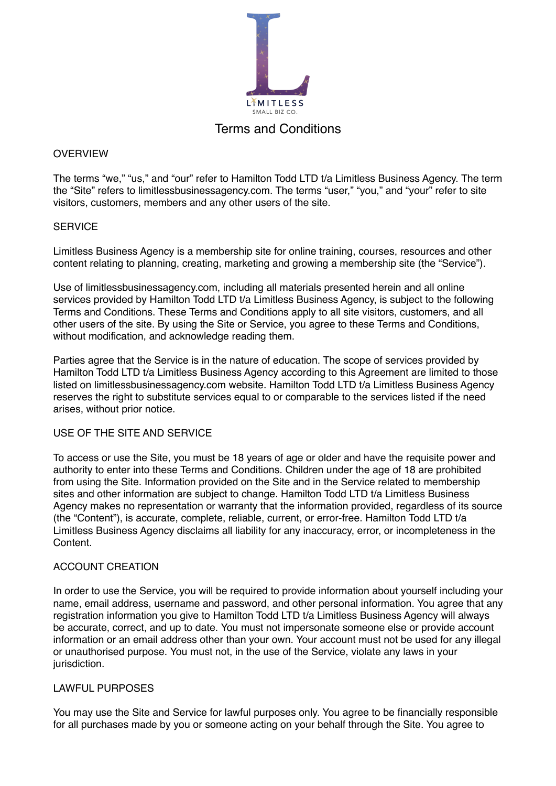

# OVERVIEW

The terms "we," "us," and "our" refer to Hamilton Todd LTD t/a Limitless Business Agency. The term the "Site" refers to limitlessbusinessagency.com. The terms "user," "you," and "your" refer to site visitors, customers, members and any other users of the site.

## **SERVICE**

Limitless Business Agency is a membership site for online training, courses, resources and other content relating to planning, creating, marketing and growing a membership site (the "Service").

Use of limitlessbusinessagency.com, including all materials presented herein and all online services provided by Hamilton Todd LTD t/a Limitless Business Agency, is subject to the following Terms and Conditions. These Terms and Conditions apply to all site visitors, customers, and all other users of the site. By using the Site or Service, you agree to these Terms and Conditions, without modification, and acknowledge reading them.

Parties agree that the Service is in the nature of education. The scope of services provided by Hamilton Todd LTD t/a Limitless Business Agency according to this Agreement are limited to those listed on limitlessbusinessagency.com website. Hamilton Todd LTD t/a Limitless Business Agency reserves the right to substitute services equal to or comparable to the services listed if the need arises, without prior notice.

# USE OF THE SITE AND SERVICE

To access or use the Site, you must be 18 years of age or older and have the requisite power and authority to enter into these Terms and Conditions. Children under the age of 18 are prohibited from using the Site. Information provided on the Site and in the Service related to membership sites and other information are subject to change. Hamilton Todd LTD t/a Limitless Business Agency makes no representation or warranty that the information provided, regardless of its source (the "Content"), is accurate, complete, reliable, current, or error-free. Hamilton Todd LTD t/a Limitless Business Agency disclaims all liability for any inaccuracy, error, or incompleteness in the Content.

# ACCOUNT CREATION

In order to use the Service, you will be required to provide information about yourself including your name, email address, username and password, and other personal information. You agree that any registration information you give to Hamilton Todd LTD t/a Limitless Business Agency will always be accurate, correct, and up to date. You must not impersonate someone else or provide account information or an email address other than your own. Your account must not be used for any illegal or unauthorised purpose. You must not, in the use of the Service, violate any laws in your jurisdiction.

### LAWFUL PURPOSES

You may use the Site and Service for lawful purposes only. You agree to be financially responsible for all purchases made by you or someone acting on your behalf through the Site. You agree to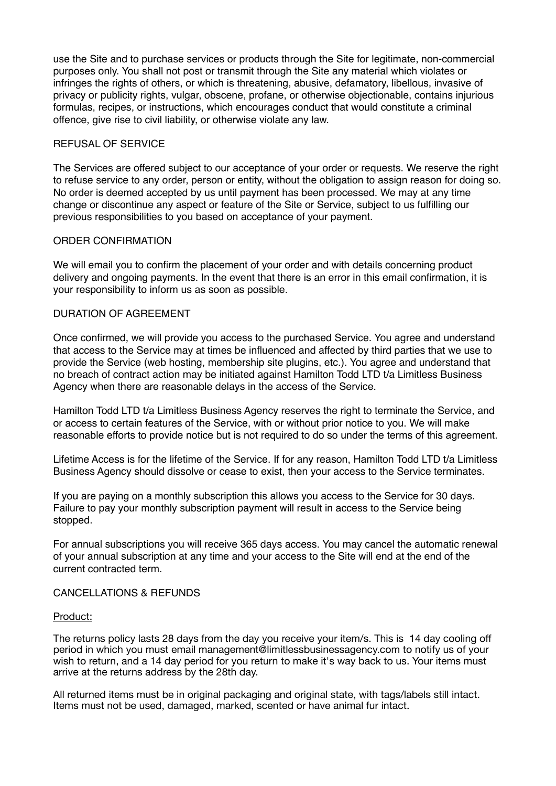use the Site and to purchase services or products through the Site for legitimate, non-commercial purposes only. You shall not post or transmit through the Site any material which violates or infringes the rights of others, or which is threatening, abusive, defamatory, libellous, invasive of privacy or publicity rights, vulgar, obscene, profane, or otherwise objectionable, contains injurious formulas, recipes, or instructions, which encourages conduct that would constitute a criminal offence, give rise to civil liability, or otherwise violate any law.

## REFUSAL OF SERVICE

The Services are offered subject to our acceptance of your order or requests. We reserve the right to refuse service to any order, person or entity, without the obligation to assign reason for doing so. No order is deemed accepted by us until payment has been processed. We may at any time change or discontinue any aspect or feature of the Site or Service, subject to us fulfilling our previous responsibilities to you based on acceptance of your payment.

## ORDER CONFIRMATION

We will email you to confirm the placement of your order and with details concerning product delivery and ongoing payments. In the event that there is an error in this email confirmation, it is your responsibility to inform us as soon as possible.

# DURATION OF AGREEMENT

Once confirmed, we will provide you access to the purchased Service. You agree and understand that access to the Service may at times be influenced and affected by third parties that we use to provide the Service (web hosting, membership site plugins, etc.). You agree and understand that no breach of contract action may be initiated against Hamilton Todd LTD t/a Limitless Business Agency when there are reasonable delays in the access of the Service.

Hamilton Todd LTD t/a Limitless Business Agency reserves the right to terminate the Service, and or access to certain features of the Service, with or without prior notice to you. We will make reasonable efforts to provide notice but is not required to do so under the terms of this agreement.

Lifetime Access is for the lifetime of the Service. If for any reason, Hamilton Todd LTD t/a Limitless Business Agency should dissolve or cease to exist, then your access to the Service terminates.

If you are paying on a monthly subscription this allows you access to the Service for 30 days. Failure to pay your monthly subscription payment will result in access to the Service being stopped.

For annual subscriptions you will receive 365 days access. You may cancel the automatic renewal of your annual subscription at any time and your access to the Site will end at the end of the current contracted term.

### CANCELLATIONS & REFUNDS

### Product:

The returns policy lasts 28 days from the day you receive your item/s. This is 14 day cooling off period in which you must email [management@limitlessbusinessagency.com](mailto:management@limitlessbusinessagency.com) to notify us of your wish to return, and a 14 day period for you return to make it's way back to us. Your items must arrive at the returns address by the 28th day.

All returned items must be in original packaging and original state, with tags/labels still intact. Items must not be used, damaged, marked, scented or have animal fur intact.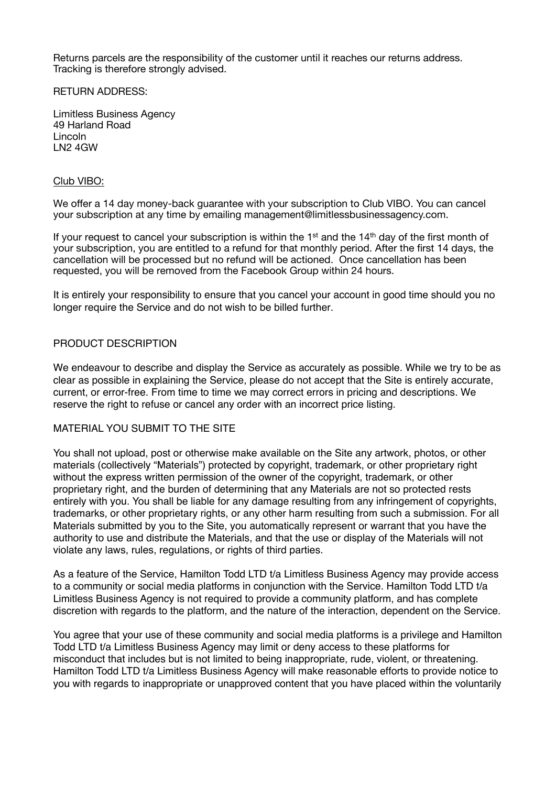Returns parcels are the responsibility of the customer until it reaches our returns address. Tracking is therefore strongly advised.

RETURN ADDRESS:

Limitless Business Agency 49 Harland Road Lincoln LN2 4GW

### Club VIBO:

We offer a 14 day money-back guarantee with your subscription to Club VIBO. You can cancel your subscription at any time by emailing management@limitlessbusinessagency.com.

If your request to cancel your subscription is within the  $1<sup>st</sup>$  and the  $14<sup>th</sup>$  day of the first month of your subscription, you are entitled to a refund for that monthly period. After the first 14 days, the cancellation will be processed but no refund will be actioned. Once cancellation has been requested, you will be removed from the Facebook Group within 24 hours.

It is entirely your responsibility to ensure that you cancel your account in good time should you no longer require the Service and do not wish to be billed further.

## PRODUCT DESCRIPTION

We endeavour to describe and display the Service as accurately as possible. While we try to be as clear as possible in explaining the Service, please do not accept that the Site is entirely accurate, current, or error-free. From time to time we may correct errors in pricing and descriptions. We reserve the right to refuse or cancel any order with an incorrect price listing.

### MATERIAL YOU SUBMIT TO THE SITE

You shall not upload, post or otherwise make available on the Site any artwork, photos, or other materials (collectively "Materials") protected by copyright, trademark, or other proprietary right without the express written permission of the owner of the copyright, trademark, or other proprietary right, and the burden of determining that any Materials are not so protected rests entirely with you. You shall be liable for any damage resulting from any infringement of copyrights, trademarks, or other proprietary rights, or any other harm resulting from such a submission. For all Materials submitted by you to the Site, you automatically represent or warrant that you have the authority to use and distribute the Materials, and that the use or display of the Materials will not violate any laws, rules, regulations, or rights of third parties.

As a feature of the Service, Hamilton Todd LTD t/a Limitless Business Agency may provide access to a community or social media platforms in conjunction with the Service. Hamilton Todd LTD t/a Limitless Business Agency is not required to provide a community platform, and has complete discretion with regards to the platform, and the nature of the interaction, dependent on the Service.

You agree that your use of these community and social media platforms is a privilege and Hamilton Todd LTD t/a Limitless Business Agency may limit or deny access to these platforms for misconduct that includes but is not limited to being inappropriate, rude, violent, or threatening. Hamilton Todd LTD t/a Limitless Business Agency will make reasonable efforts to provide notice to you with regards to inappropriate or unapproved content that you have placed within the voluntarily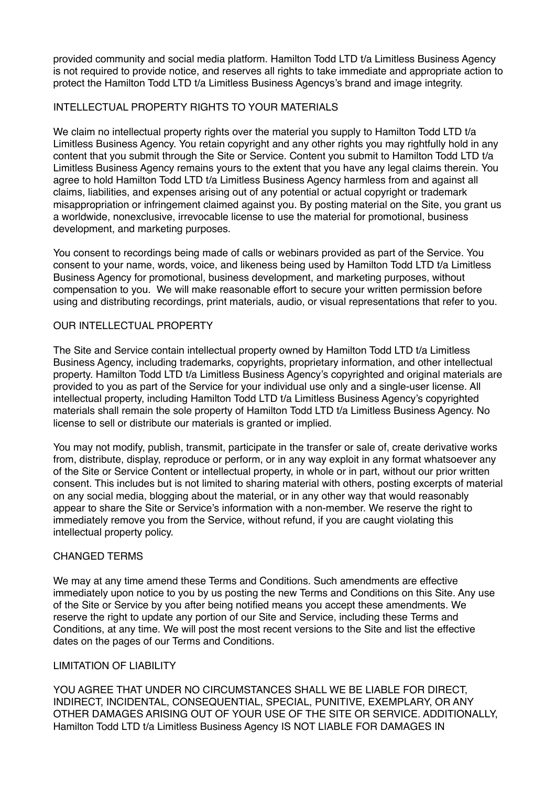provided community and social media platform. Hamilton Todd LTD t/a Limitless Business Agency is not required to provide notice, and reserves all rights to take immediate and appropriate action to protect the Hamilton Todd LTD t/a Limitless Business Agencys's brand and image integrity.

# INTELLECTUAL PROPERTY RIGHTS TO YOUR MATERIALS

We claim no intellectual property rights over the material you supply to Hamilton Todd LTD t/a Limitless Business Agency. You retain copyright and any other rights you may rightfully hold in any content that you submit through the Site or Service. Content you submit to Hamilton Todd LTD t/a Limitless Business Agency remains yours to the extent that you have any legal claims therein. You agree to hold Hamilton Todd LTD t/a Limitless Business Agency harmless from and against all claims, liabilities, and expenses arising out of any potential or actual copyright or trademark misappropriation or infringement claimed against you. By posting material on the Site, you grant us a worldwide, nonexclusive, irrevocable license to use the material for promotional, business development, and marketing purposes.

You consent to recordings being made of calls or webinars provided as part of the Service. You consent to your name, words, voice, and likeness being used by Hamilton Todd LTD t/a Limitless Business Agency for promotional, business development, and marketing purposes, without compensation to you. We will make reasonable effort to secure your written permission before using and distributing recordings, print materials, audio, or visual representations that refer to you.

# OUR INTELLECTUAL PROPERTY

The Site and Service contain intellectual property owned by Hamilton Todd LTD t/a Limitless Business Agency, including trademarks, copyrights, proprietary information, and other intellectual property. Hamilton Todd LTD t/a Limitless Business Agency's copyrighted and original materials are provided to you as part of the Service for your individual use only and a single-user license. All intellectual property, including Hamilton Todd LTD t/a Limitless Business Agency's copyrighted materials shall remain the sole property of Hamilton Todd LTD t/a Limitless Business Agency. No license to sell or distribute our materials is granted or implied.

You may not modify, publish, transmit, participate in the transfer or sale of, create derivative works from, distribute, display, reproduce or perform, or in any way exploit in any format whatsoever any of the Site or Service Content or intellectual property, in whole or in part, without our prior written consent. This includes but is not limited to sharing material with others, posting excerpts of material on any social media, blogging about the material, or in any other way that would reasonably appear to share the Site or Service's information with a non-member. We reserve the right to immediately remove you from the Service, without refund, if you are caught violating this intellectual property policy.

# CHANGED TERMS

We may at any time amend these Terms and Conditions. Such amendments are effective immediately upon notice to you by us posting the new Terms and Conditions on this Site. Any use of the Site or Service by you after being notified means you accept these amendments. We reserve the right to update any portion of our Site and Service, including these Terms and Conditions, at any time. We will post the most recent versions to the Site and list the effective dates on the pages of our Terms and Conditions.

# LIMITATION OF LIABILITY

YOU AGREE THAT UNDER NO CIRCUMSTANCES SHALL WE BE LIABLE FOR DIRECT, INDIRECT, INCIDENTAL, CONSEQUENTIAL, SPECIAL, PUNITIVE, EXEMPLARY, OR ANY OTHER DAMAGES ARISING OUT OF YOUR USE OF THE SITE OR SERVICE. ADDITIONALLY, Hamilton Todd LTD t/a Limitless Business Agency IS NOT LIABLE FOR DAMAGES IN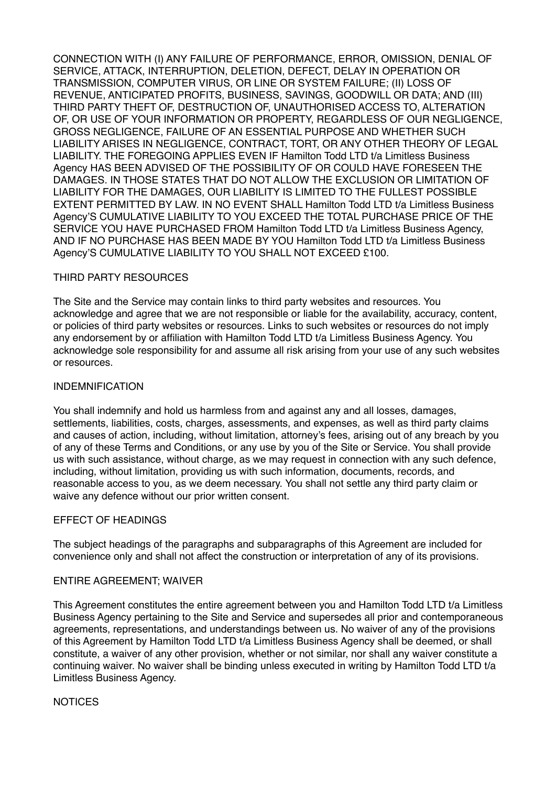CONNECTION WITH (I) ANY FAILURE OF PERFORMANCE, ERROR, OMISSION, DENIAL OF SERVICE, ATTACK, INTERRUPTION, DELETION, DEFECT, DELAY IN OPERATION OR TRANSMISSION, COMPUTER VIRUS, OR LINE OR SYSTEM FAILURE; (II) LOSS OF REVENUE, ANTICIPATED PROFITS, BUSINESS, SAVINGS, GOODWILL OR DATA; AND (III) THIRD PARTY THEFT OF, DESTRUCTION OF, UNAUTHORISED ACCESS TO, ALTERATION OF, OR USE OF YOUR INFORMATION OR PROPERTY, REGARDLESS OF OUR NEGLIGENCE, GROSS NEGLIGENCE, FAILURE OF AN ESSENTIAL PURPOSE AND WHETHER SUCH LIABILITY ARISES IN NEGLIGENCE, CONTRACT, TORT, OR ANY OTHER THEORY OF LEGAL LIABILITY. THE FOREGOING APPLIES EVEN IF Hamilton Todd LTD t/a Limitless Business Agency HAS BEEN ADVISED OF THE POSSIBILITY OF OR COULD HAVE FORESEEN THE DAMAGES. IN THOSE STATES THAT DO NOT ALLOW THE EXCLUSION OR LIMITATION OF LIABILITY FOR THE DAMAGES, OUR LIABILITY IS LIMITED TO THE FULLEST POSSIBLE EXTENT PERMITTED BY LAW. IN NO EVENT SHALL Hamilton Todd LTD t/a Limitless Business Agency'S CUMULATIVE LIABILITY TO YOU EXCEED THE TOTAL PURCHASE PRICE OF THE SERVICE YOU HAVE PURCHASED FROM Hamilton Todd LTD t/a Limitless Business Agency, AND IF NO PURCHASE HAS BEEN MADE BY YOU Hamilton Todd LTD t/a Limitless Business Agency'S CUMULATIVE LIABILITY TO YOU SHALL NOT EXCEED £100.

# THIRD PARTY RESOURCES

The Site and the Service may contain links to third party websites and resources. You acknowledge and agree that we are not responsible or liable for the availability, accuracy, content, or policies of third party websites or resources. Links to such websites or resources do not imply any endorsement by or affiliation with Hamilton Todd LTD t/a Limitless Business Agency. You acknowledge sole responsibility for and assume all risk arising from your use of any such websites or resources.

## INDEMNIFICATION

You shall indemnify and hold us harmless from and against any and all losses, damages, settlements, liabilities, costs, charges, assessments, and expenses, as well as third party claims and causes of action, including, without limitation, attorney's fees, arising out of any breach by you of any of these Terms and Conditions, or any use by you of the Site or Service. You shall provide us with such assistance, without charge, as we may request in connection with any such defence, including, without limitation, providing us with such information, documents, records, and reasonable access to you, as we deem necessary. You shall not settle any third party claim or waive any defence without our prior written consent.

# EFFECT OF HEADINGS

The subject headings of the paragraphs and subparagraphs of this Agreement are included for convenience only and shall not affect the construction or interpretation of any of its provisions.

### ENTIRE AGREEMENT; WAIVER

This Agreement constitutes the entire agreement between you and Hamilton Todd LTD t/a Limitless Business Agency pertaining to the Site and Service and supersedes all prior and contemporaneous agreements, representations, and understandings between us. No waiver of any of the provisions of this Agreement by Hamilton Todd LTD t/a Limitless Business Agency shall be deemed, or shall constitute, a waiver of any other provision, whether or not similar, nor shall any waiver constitute a continuing waiver. No waiver shall be binding unless executed in writing by Hamilton Todd LTD t/a Limitless Business Agency.

# **NOTICES**